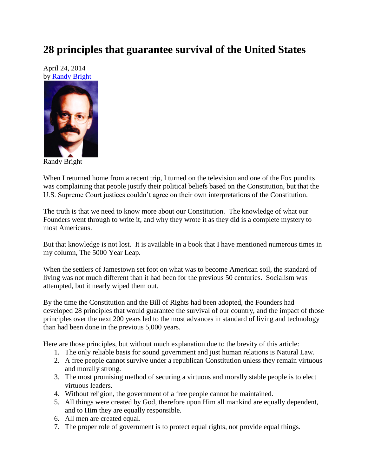## **28 principles that guarantee survival of the United States**

April 24, 2014 by [Randy Bright](http://tulsabeacon.com/writers/randy-bright/)



Randy Bright

When I returned home from a recent trip, I turned on the television and one of the Fox pundits was complaining that people justify their political beliefs based on the Constitution, but that the U.S. Supreme Court justices couldn't agree on their own interpretations of the Constitution.

The truth is that we need to know more about our Constitution. The knowledge of what our Founders went through to write it, and why they wrote it as they did is a complete mystery to most Americans.

But that knowledge is not lost. It is available in a book that I have mentioned numerous times in my column, The 5000 Year Leap.

When the settlers of Jamestown set foot on what was to become American soil, the standard of living was not much different than it had been for the previous 50 centuries. Socialism was attempted, but it nearly wiped them out.

By the time the Constitution and the Bill of Rights had been adopted, the Founders had developed 28 principles that would guarantee the survival of our country, and the impact of those principles over the next 200 years led to the most advances in standard of living and technology than had been done in the previous 5,000 years.

Here are those principles, but without much explanation due to the brevity of this article:

- 1. The only reliable basis for sound government and just human relations is Natural Law.
- 2. A free people cannot survive under a republican Constitution unless they remain virtuous and morally strong.
- 3. The most promising method of securing a virtuous and morally stable people is to elect virtuous leaders.
- 4. Without religion, the government of a free people cannot be maintained.
- 5. All things were created by God, therefore upon Him all mankind are equally dependent, and to Him they are equally responsible.
- 6. All men are created equal.
- 7. The proper role of government is to protect equal rights, not provide equal things.